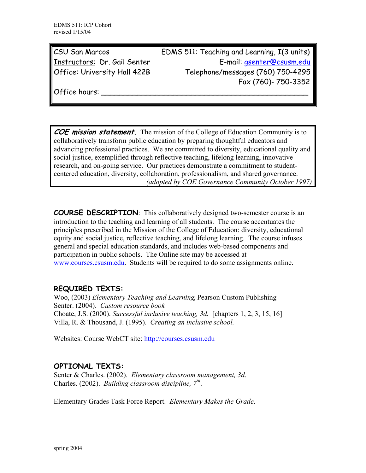| CSU San Marcos                | EDMS 511: Teaching and Learning, I(3 units) |  |
|-------------------------------|---------------------------------------------|--|
| Instructors: Dr. Gail Senter  | E-mail: gsenter@csusm.edu                   |  |
| O(fice: University Hall 422B) | Telephone/messages (760) 750-4295           |  |
|                               | Fax (760)- 750-3352                         |  |

Office hours:

**COE mission statement.** The mission of the College of Education Community is to collaboratively transform public education by preparing thoughtful educators and advancing professional practices. We are committed to diversity, educational quality and social justice, exemplified through reflective teaching, lifelong learning, innovative research, and on-going service. Our practices demonstrate a commitment to studentcentered education, diversity, collaboration, professionalism, and shared governance. *(adopted by COE Governance Community October 1997)*

**COURSE DESCRIPTION**: This collaboratively designed two-semester course is an introduction to the teaching and learning of all students. The course accentuates the principles prescribed in the Mission of the College of Education: diversity, educational equity and social justice, reflective teaching, and lifelong learning. The course infuses general and special education standards, and includes web-based components and participation in public schools. The Online site may be accessed at www.courses.csusm.edu. Students will be required to do some assignments online.

## **REQUIRED TEXTS:**

Woo, (2003) *Elementary Teaching and Learning*, Pearson Custom Publishing Senter. (2004). *Custom resource book*  Choate, J.S. (2000). *Successful inclusive teaching, 3d.* [chapters 1, 2, 3, 15, 16] Villa, R. & Thousand, J. (1995). *Creating an inclusive school.*

Websites: Course WebCT site: http://courses.csusm.edu

### **OPTIONAL TEXTS:**

Senter & Charles. (2002). *Elementary classroom management, 3d*. Charles. (2002). *Building classroom discipline, 7th*.

Elementary Grades Task Force Report. *Elementary Makes the Grade*.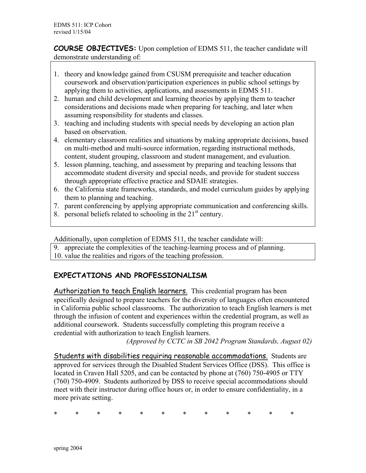**COURSE OBJECTIVES:** Upon completion of EDMS 511, the teacher candidate will demonstrate understanding of:

- 1. theory and knowledge gained from CSUSM prerequisite and teacher education coursework and observation/participation experiences in public school settings by applying them to activities, applications, and assessments in EDMS 511.
- 2. human and child development and learning theories by applying them to teacher considerations and decisions made when preparing for teaching, and later when assuming responsibility for students and classes.
- 3. teaching and including students with special needs by developing an action plan based on observation.
- 4. elementary classroom realities and situations by making appropriate decisions, based on multi-method and multi-source information, regarding instructional methods, content, student grouping, classroom and student management, and evaluation.
- 5. lesson planning, teaching, and assessment by preparing and teaching lessons that accommodate student diversity and special needs, and provide for student success through appropriate effective practice and SDAIE strategies.
- 6. the California state frameworks, standards, and model curriculum guides by applying them to planning and teaching.
- 7. parent conferencing by applying appropriate communication and conferencing skills.
- 8. personal beliefs related to schooling in the  $21<sup>st</sup>$  century.

Additionally, upon completion of EDMS 511, the teacher candidate will:

- 9. appreciate the complexities of the teaching-learning process and of planning.
- 10. value the realities and rigors of the teaching profession.

# **EXPECTATIONS AND PROFESSIONALISM**

Authorization to teach English learners. This credential program has been specifically designed to prepare teachers for the diversity of languages often encountered in California public school classrooms. The authorization to teach English learners is met through the infusion of content and experiences within the credential program, as well as additional coursework. Students successfully completing this program receive a credential with authorization to teach English learners.

*(Approved by CCTC in SB 2042 Program Standards, August 02)* 

Students with disabilities requiring reasonable accommodations. Students are approved for services through the Disabled Student Services Office (DSS). This office is located in Craven Hall 5205, and can be contacted by phone at (760) 750-4905 or TTY (760) 750-4909. Students authorized by DSS to receive special accommodations should meet with their instructor during office hours or, in order to ensure confidentiality, in a more private setting.

\* \* \* \* \* \* \* \* \* \* \* \*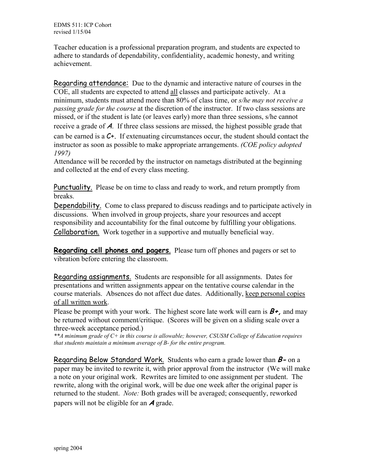Teacher education is a professional preparation program, and students are expected to adhere to standards of dependability, confidentiality, academic honesty, and writing achievement.

Regarding attendance: Due to the dynamic and interactive nature of courses in the COE, all students are expected to attend all classes and participate actively. At a minimum, students must attend more than 80% of class time, or *s/he may not receive a passing grade for the course* at the discretion of the instructor. If two class sessions are missed, or if the student is late (or leaves early) more than three sessions, s/he cannot receive a grade of A. If three class sessions are missed, the highest possible grade that can be earned is a C+. If extenuating circumstances occur, the student should contact the instructor as soon as possible to make appropriate arrangements. *(COE policy adopted 1997)*

Attendance will be recorded by the instructor on nametags distributed at the beginning and collected at the end of every class meeting.

Punctuality. Please be on time to class and ready to work, and return promptly from breaks.

Dependability. Come to class prepared to discuss readings and to participate actively in discussions. When involved in group projects, share your resources and accept responsibility and accountability for the final outcome by fulfilling your obligations. Collaboration. Work together in a supportive and mutually beneficial way.

**Regarding cell phones and pagers**. Please turn off phones and pagers or set to vibration before entering the classroom.

Regarding assignments. Students are responsible for all assignments. Dates for presentations and written assignments appear on the tentative course calendar in the course materials. Absences do not affect due dates. Additionally, keep personal copies of all written work.

Please be prompt with your work. The highest score late work will earn is **B+,** and may be returned without comment/critique. (Scores will be given on a sliding scale over a three-week acceptance period.)

*\*\*A minimum grade of C+ in this course is allowable; however, CSUSM College of Education requires that students maintain a minimum average of B- for the entire program.* 

Regarding Below Standard Work. Students who earn a grade lower than **B-** on a paper may be invited to rewrite it, with prior approval from the instructor (We will make a note on your original work. Rewrites are limited to one assignment per student. The rewrite, along with the original work, will be due one week after the original paper is returned to the student. *Note:* Both grades will be averaged; consequently, reworked papers will not be eligible for an **A** grade.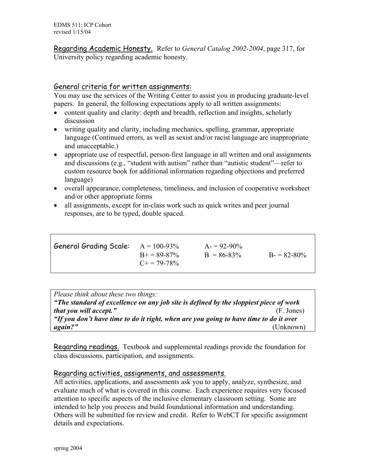Regarding Academic Honesty. Refer to *General Catalog 2002-2004*, page 317, for University policy regarding academic honesty.

### General criteria for written assignments:

You may use the services of the Writing Center to assist you in producing graduate-level papers. In general, the following expectations apply to all written assignments:

- content quality and clarity: depth and breadth, reflection and insights, scholarly discussion
- writing quality and clarity, including mechanics, spelling, grammar, appropriate language (Continued errors, as well as sexist and/or racist language are inappropriate and unacceptable.)
- appropriate use of respectful, person-first language in all written and oral assignments and discussions (e.g., "student with autism" rather than "autistic student"—refer to custom resource book for additional information regarding objections and preferred language)
- overall appearance, completeness, timeliness, and inclusion of cooperative worksheet and/or other appropriate forms
- all assignments, except for in-class work such as quick writes and peer journal responses, are to be typed, double spaced.

| General Grading Scale: $A = 100-93\%$ | $B_{+} = 89 - 87\%$<br>$C_{\pm} = 79 - 78\%$ | $A = 92-90\%$<br>$B = 86-83\%$ | $B = 82 - 80\%$ |
|---------------------------------------|----------------------------------------------|--------------------------------|-----------------|
|                                       |                                              |                                |                 |

| Please think about these two things:                                                  |            |  |  |
|---------------------------------------------------------------------------------------|------------|--|--|
| "The standard of excellence on any job site is defined by the sloppiest piece of work |            |  |  |
| that you will accept."                                                                | (F. Jones) |  |  |
| "If you don't have time to do it right, when are you going to have time to do it over |            |  |  |
| again?"                                                                               | (Unknown)  |  |  |

Regarding readings. Textbook and supplemental readings provide the foundation for class discussions, participation, and assignments.

### Regarding activities, assignments, and assessments.

All activities, applications, and assessments ask you to apply, analyze, synthesize, and evaluate much of what is covered in this course. Each experience requires very focused attention to specific aspects of the inclusive elementary classroom setting. Some are intended to help you process and build foundational information and understanding. Others will be submitted for review and credit. Refer to WebCT for specific assignment details and expectations.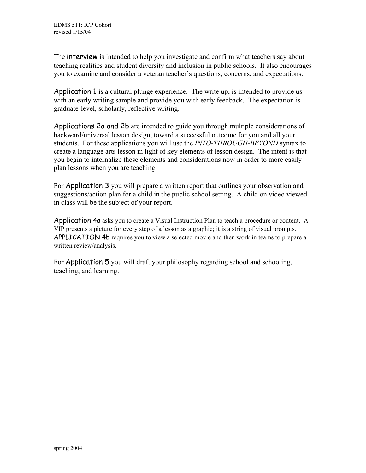The interview is intended to help you investigate and confirm what teachers say about teaching realities and student diversity and inclusion in public schools. It also encourages you to examine and consider a veteran teacher's questions, concerns, and expectations.

Application 1 is a cultural plunge experience. The write up, is intended to provide us with an early writing sample and provide you with early feedback. The expectation is graduate-level, scholarly, reflective writing.

Applications 2a and 2b are intended to guide you through multiple considerations of backward/universal lesson design, toward a successful outcome for you and all your students. For these applications you will use the *INTO-THROUGH-BEYOND* syntax to create a language arts lesson in light of key elements of lesson design. The intent is that you begin to internalize these elements and considerations now in order to more easily plan lessons when you are teaching.

For Application 3 you will prepare a written report that outlines your observation and suggestions/action plan for a child in the public school setting. A child on video viewed in class will be the subject of your report.

Application 4a asks you to create a Visual Instruction Plan to teach a procedure or content. A VIP presents a picture for every step of a lesson as a graphic; it is a string of visual prompts. APPLICATION 4b requires you to view a selected movie and then work in teams to prepare a written review/analysis.

For Application 5 you will draft your philosophy regarding school and schooling, teaching, and learning.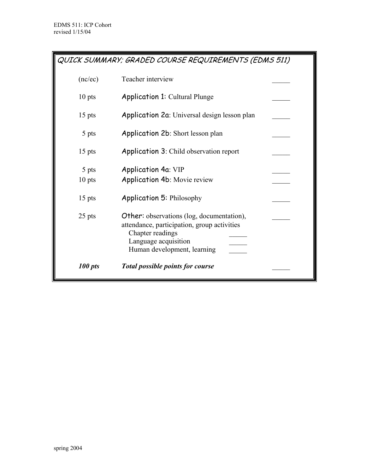QUICK SUMMARY; GRADED COURSE REQUIREMENTS (EDMS 511) (nc/ec) Teacher interview \_\_\_\_\_ 10 pts **Application 1:** Cultural Plunge 15 pts Application 2a: Universal design lesson plan \_\_\_\_\_ 5 pts **Application 2b**: Short lesson plan 15 pts **Application 3**: Child observation report 5 pts **Application 4a**: VIP 10 pts **Application 4b**: Movie review 15 pts **Application 5:** Philosophy 25 pts **Other:** observations (log, documentation), attendance, participation, group activities Chapter readings Language acquisition Human development, learning \_\_\_\_\_ *100 pts Total possible points for course* \_\_\_\_\_